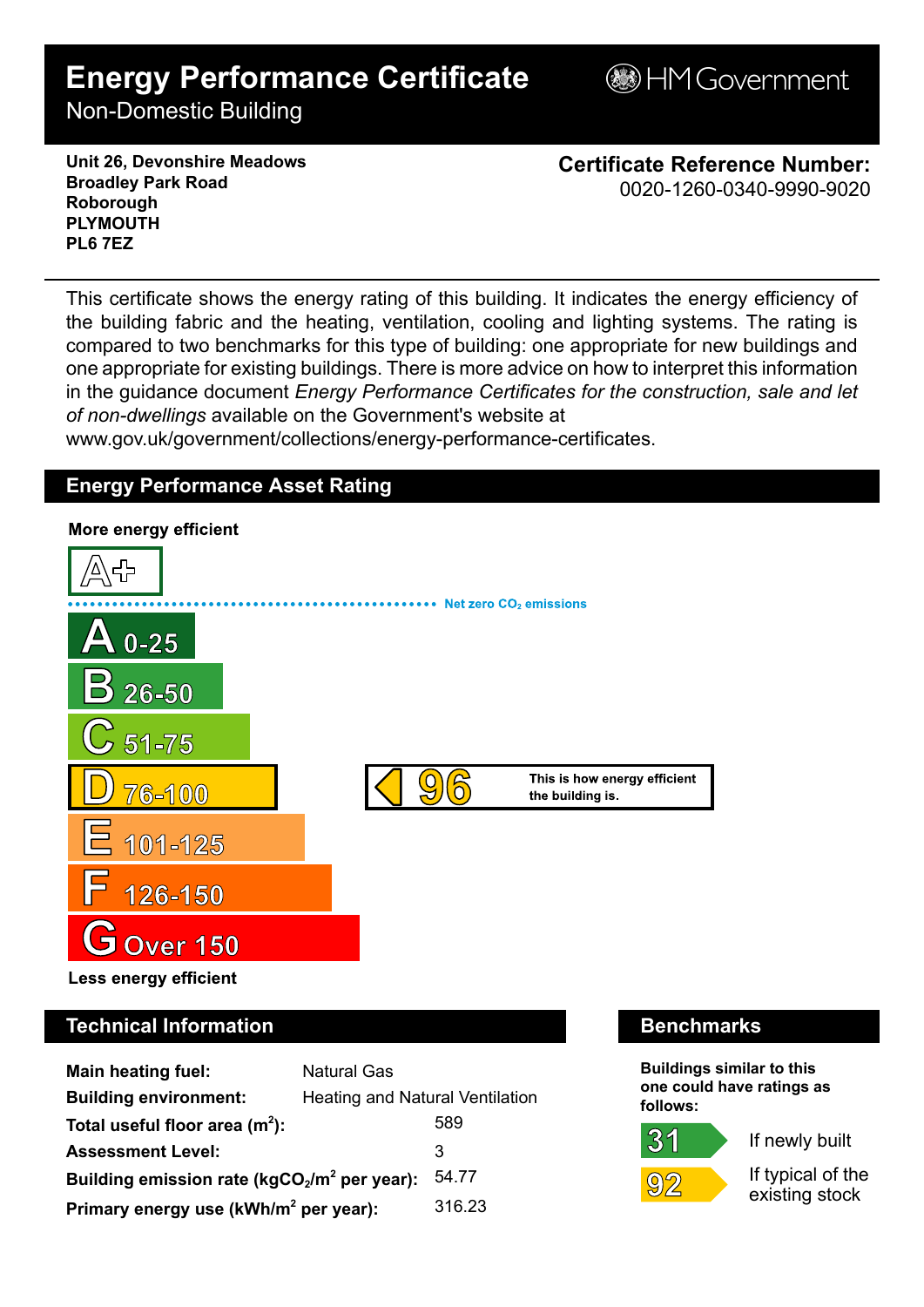# **Energy Performance Certificate**

**BHM Government** 

Non-Domestic Building

**Unit 26, Devonshire Meadows Broadley Park Road Roborough PLYMOUTH PL6 7EZ**

**Certificate Reference Number:** 0020-1260-0340-9990-9020

This certificate shows the energy rating of this building. It indicates the energy efficiency of the building fabric and the heating, ventilation, cooling and lighting systems. The rating is compared to two benchmarks for this type of building: one appropriate for new buildings and one appropriate for existing buildings. There is more advice on how to interpret this information in the guidance document *Energy Performance Certificates for the construction, sale and let of non-dwellings* available on the Government's website at

www.gov.uk/government/collections/energy-performance-certificates.

## **Energy Performance Asset Rating**



# **Technical Information Benchmarks**

| <b>Main heating fuel:</b>                         | <b>Natural Gas</b>                     |        |
|---------------------------------------------------|----------------------------------------|--------|
| <b>Building environment:</b>                      | <b>Heating and Natural Ventilation</b> |        |
| Total useful floor area $(m2)$ :                  |                                        | 589    |
| <b>Assessment Level:</b>                          |                                        | 3      |
| Building emission rate ( $kgCO2/m2$ per year):    |                                        | 54.77  |
| Primary energy use (kWh/m <sup>2</sup> per year): |                                        | 316.23 |

**Buildings similar to this one could have ratings as follows:**



 $31$ 

If newly built

If typical of the existing stock